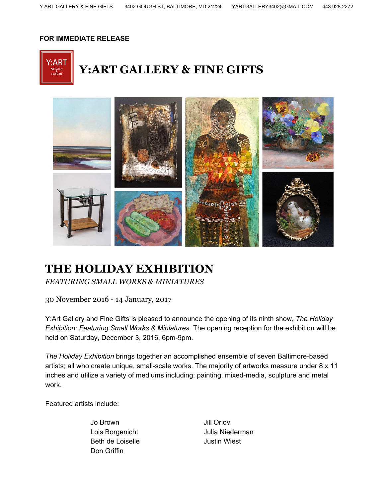## **FOR IMMEDIATE RELEASE**





## **THE HOLIDAY EXHIBITION**

*FEATURING SMALL WORKS & MINIATURES*

30 November 2016 - 14 January, 2017

Y:Art Gallery and Fine Gifts is pleased to announce the opening of its ninth show, *The Holiday Exhibition: Featuring Small Works & Miniatures*. The opening reception for the exhibition will be held on Saturday, December 3, 2016, 6pm-9pm.

*The Holiday Exhibition* brings together an accomplished ensemble of seven Baltimore-based artists; all who create unique, small-scale works. The majority of artworks measure under 8 x 11 inches and utilize a variety of mediums including: painting, mixed-media, sculpture and metal work.

Featured artists include:

Jo Brown Jill Orlov Beth de Loiselle **Guart Contact Settem** Justin Wiest Don Griffin

Lois Borgenicht **Julia Niederman**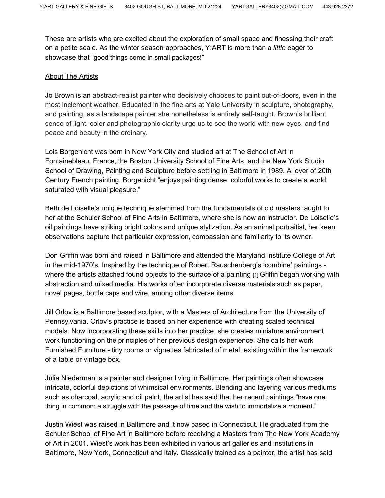These are artists who are excited about the exploration of small space and finessing their craft on a petite scale. As the winter season approaches, Y:ART is more than a *little* eager to showcase that "good things come in small packages!"

## About The Artists

Jo Brown is an abstract-realist painter who decisively chooses to paint out-of-doors, even in the most inclement weather. Educated in the fine arts at Yale University in sculpture, photography, and painting, as a landscape painter she nonetheless is entirely self-taught. Brown's brilliant sense of light, color and photographic clarity urge us to see the world with new eyes, and find peace and beauty in the ordinary.

Lois Borgenicht was born in New York City and studied art at The School of Art in Fontainebleau, France, the Boston University School of Fine Arts, and the New York Studio School of Drawing, Painting and Sculpture before settling in Baltimore in 1989. A lover of 20th Century French painting, Borgenicht "enjoys painting dense, colorful works to create a world saturated with visual pleasure."

Beth de Loiselle's unique technique stemmed from the fundamentals of old masters taught to her at the Schuler School of Fine Arts in Baltimore, where she is now an instructor. De Loiselle's oil paintings have striking bright colors and unique stylization. As an animal portraitist, her keen observations capture that particular expression, compassion and familiarity to its owner.

Don Griffin was born and raised in Baltimore and attended the Maryland Institute College of Art in the mid-1970's. Inspired by the technique of Robert Rauschenberg's 'combine' paintings where the artists attached found objects to the surface of a painting [1] Griffin began working with abstraction and mixed media. His works often incorporate diverse materials such as paper, novel pages, bottle caps and wire, among other diverse items.

Jill Orlov is a Baltimore based sculptor, with a Masters of Architecture from the University of Pennsylvania. Orlov's practice is based on her experience with creating scaled technical models. Now incorporating these skills into her practice, she creates miniature environment work functioning on the principles of her previous design experience. She calls her work Furnished Furniture - tiny rooms or vignettes fabricated of metal, existing within the framework of a table or vintage box.

Julia Niederman is a painter and designer living in Baltimore. Her paintings often showcase intricate, colorful depictions of whimsical environments. Blending and layering various mediums such as charcoal, acrylic and oil paint, the artist has said that her recent paintings "have one thing in common: a struggle with the passage of time and the wish to immortalize a moment."

Justin Wiest was raised in Baltimore and it now based in Connecticut. He graduated from the Schuler School of Fine Art in Baltimore before receiving a Masters from The New York Academy of Art in 2001. Wiest's work has been exhibited in various art galleries and institutions in Baltimore, New York, Connecticut and Italy. Classically trained as a painter, the artist has said